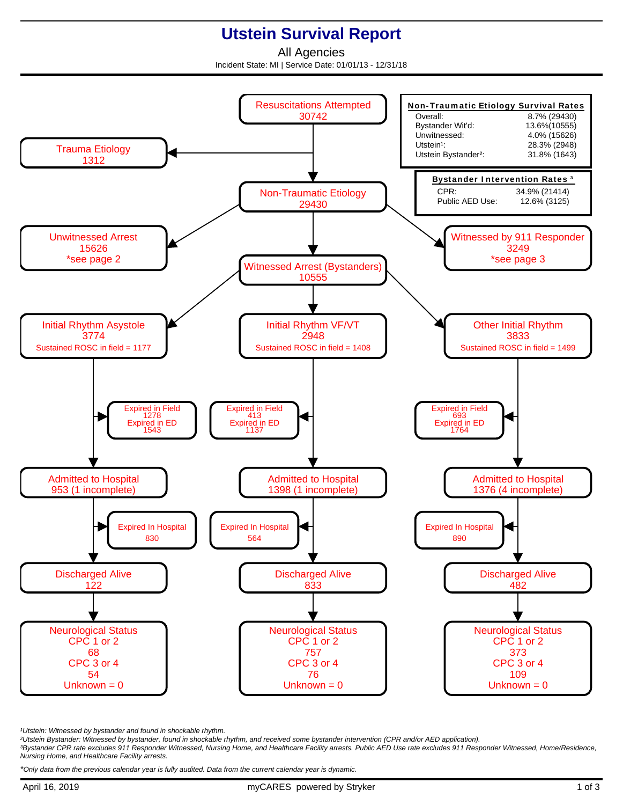## **Utstein Survival Report**

All Agencies Incident State: MI | Service Date: 01/01/13 - 12/31/18



<sup>1</sup>Utstein: Witnessed by bystander and found in shockable rhythm.

²Utstein Bystander: Witnessed by bystander, found in shockable rhythm, and received some bystander intervention (CPR and/or AED application).

³Bystander CPR rate excludes 911 Responder Witnessed, Nursing Home, and Healthcare Facility arrests. Public AED Use rate excludes 911 Responder Witnessed, Home/Residence, Nursing Home, and Healthcare Facility arrests.

\*Only data from the previous calendar year is fully audited. Data from the current calendar year is dynamic.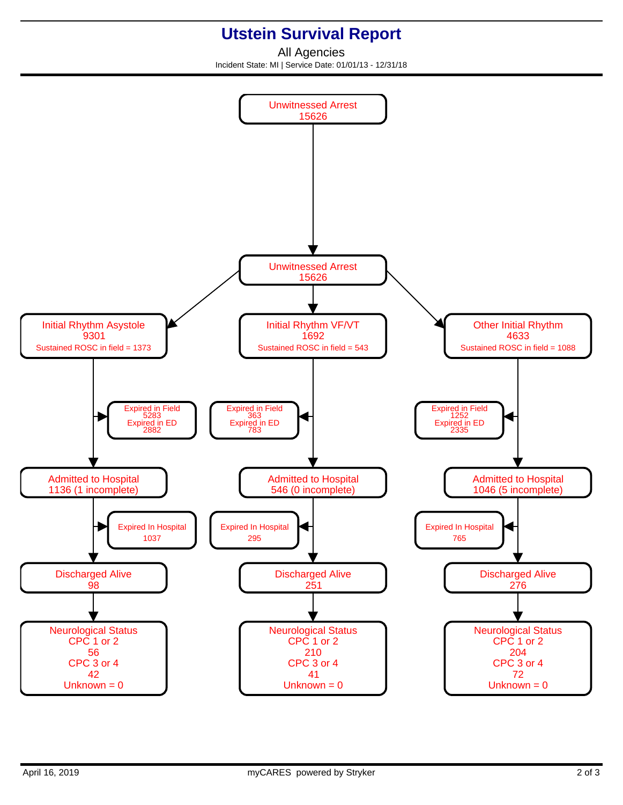## **Utstein Survival Report**

All Agencies Incident State: MI | Service Date: 01/01/13 - 12/31/18